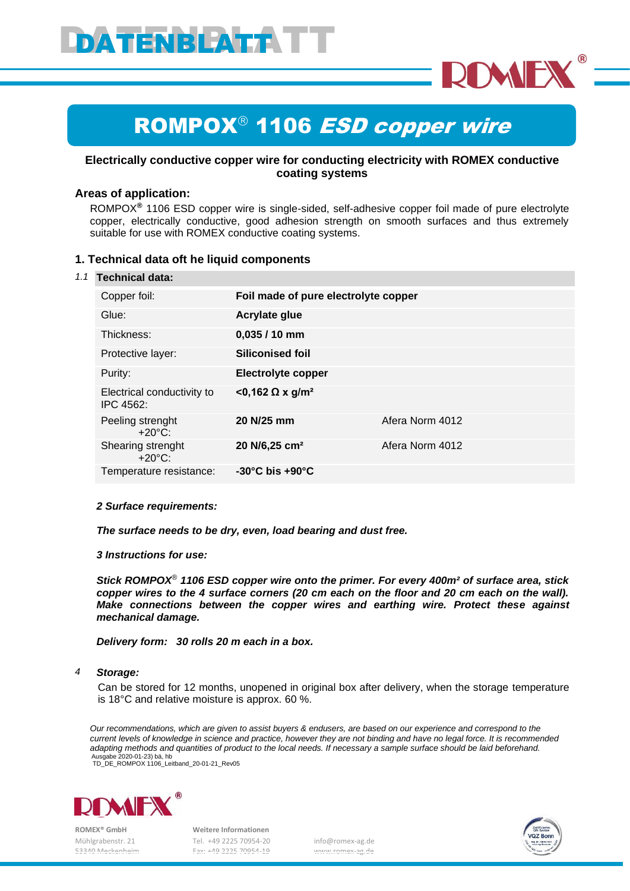

# ROMPOX<sup>®</sup> 1106 ESD copper wire

## **Electrically conductive copper wire for conducting electricity with ROMEX conductive coating systems**

## **Areas of application:**

ROMPOX**®** 1106 ESD copper wire is single-sided, self-adhesive copper foil made of pure electrolyte copper, electrically conductive, good adhesion strength on smooth surfaces and thus extremely suitable for use with ROMEX conductive coating systems.

### **1. Technical data oft he liquid components**

#### *1.1* **Technical data:**

| Copper foil:                            | Foil made of pure electrolyte copper |                 |
|-----------------------------------------|--------------------------------------|-----------------|
| Glue:                                   | <b>Acrylate glue</b>                 |                 |
| Thickness:                              | $0,035/10$ mm                        |                 |
| Protective layer:                       | <b>Siliconised foil</b>              |                 |
| Purity:                                 | <b>Electrolyte copper</b>            |                 |
| Electrical conductivity to<br>IPC 4562: | <0,162 Ω x g/m <sup>2</sup>          |                 |
| Peeling strenght<br>$+20^{\circ}$ C:    | 20 N/25 mm                           | Afera Norm 4012 |
| Shearing strenght<br>$+20^{\circ}$ C:   | 20 N/6,25 cm <sup>2</sup>            | Afera Norm 4012 |
| Temperature resistance:                 | $-30^{\circ}$ C bis $+90^{\circ}$ C  |                 |

#### *2 Surface requirements:*

*The surface needs to be dry, even, load bearing and dust free.*

#### *3 Instructions for use:*

*Stick ROMPOX*® *1106 ESD copper wire onto the primer. For every 400m² of surface area, stick copper wires to the 4 surface corners (20 cm each on the floor and 20 cm each on the wall). Make connections between the copper wires and earthing wire. Protect these against mechanical damage.*

*Delivery form: 30 rolls 20 m each in a box.*

#### *4 Storage:*

Can be stored for 12 months, unopened in original box after delivery, when the storage temperature is 18°C and relative moisture is approx. 60 %.

*Our recommendations, which are given to assist buyers & endusers, are based on our experience and correspond to the current levels of knowledge in science and practice, however they are not binding and have no legal force. It is recommended adapting methods and quantities of product to the local needs. If necessary a sample surface should be laid beforehand.* Ausgabe 2020-01-23) bä, hb TD\_DE\_ROMPOX 1106\_Leitband\_20-01-21\_Rev05



 **ROMEX® GmbH Weitere Informationen**

 Mühlgrabenstr. 21 Tel. +49 2225 70954-20 info@romex-ag.de 53340 Meckenheim Fax: +49 2225 70954-19 www.romex-ag.de